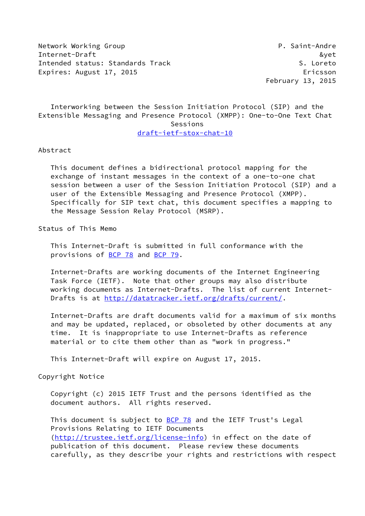Network Working Group **P. Saint-Andre** Internet-Draft &yet Intended status: Standards Track S. Loreto Expires: August 17, 2015 Expires: August 17, 2015

February 13, 2015

 Interworking between the Session Initiation Protocol (SIP) and the Extensible Messaging and Presence Protocol (XMPP): One-to-One Text Chat Sessions [draft-ietf-stox-chat-10](https://datatracker.ietf.org/doc/pdf/draft-ietf-stox-chat-10)

Abstract

 This document defines a bidirectional protocol mapping for the exchange of instant messages in the context of a one-to-one chat session between a user of the Session Initiation Protocol (SIP) and a user of the Extensible Messaging and Presence Protocol (XMPP). Specifically for SIP text chat, this document specifies a mapping to the Message Session Relay Protocol (MSRP).

Status of This Memo

 This Internet-Draft is submitted in full conformance with the provisions of [BCP 78](https://datatracker.ietf.org/doc/pdf/bcp78) and [BCP 79](https://datatracker.ietf.org/doc/pdf/bcp79).

 Internet-Drafts are working documents of the Internet Engineering Task Force (IETF). Note that other groups may also distribute working documents as Internet-Drafts. The list of current Internet- Drafts is at<http://datatracker.ietf.org/drafts/current/>.

 Internet-Drafts are draft documents valid for a maximum of six months and may be updated, replaced, or obsoleted by other documents at any time. It is inappropriate to use Internet-Drafts as reference material or to cite them other than as "work in progress."

This Internet-Draft will expire on August 17, 2015.

Copyright Notice

 Copyright (c) 2015 IETF Trust and the persons identified as the document authors. All rights reserved.

This document is subject to **[BCP 78](https://datatracker.ietf.org/doc/pdf/bcp78)** and the IETF Trust's Legal Provisions Relating to IETF Documents [\(http://trustee.ietf.org/license-info](http://trustee.ietf.org/license-info)) in effect on the date of publication of this document. Please review these documents carefully, as they describe your rights and restrictions with respect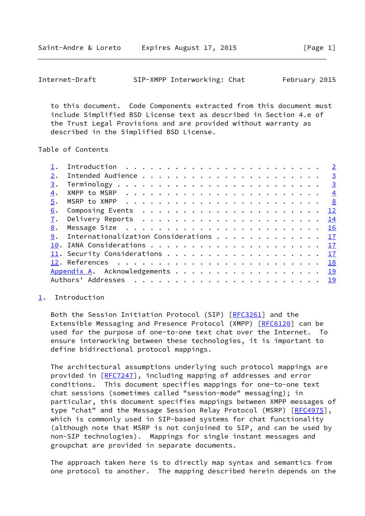<span id="page-1-1"></span>

| Internet-Draft |  | SIP-XMPP Interworking: Chat |  | February 2015 |  |
|----------------|--|-----------------------------|--|---------------|--|
|----------------|--|-----------------------------|--|---------------|--|

 to this document. Code Components extracted from this document must include Simplified BSD License text as described in Section 4.e of the Trust Legal Provisions and are provided without warranty as described in the Simplified BSD License.

Table of Contents

|    | Introduction $\cdots \cdots \cdots \cdots \cdots \cdots \cdots \cdots \cdots$             |  |
|----|-------------------------------------------------------------------------------------------|--|
|    |                                                                                           |  |
|    |                                                                                           |  |
| 4. | XMPP to MSRP $\ldots \ldots \ldots \ldots \ldots \ldots \ldots \ldots \ldots \frac{4}{2}$ |  |
|    |                                                                                           |  |
| 6. |                                                                                           |  |
|    |                                                                                           |  |
| 8. |                                                                                           |  |
|    | 9. Internationalization Considerations 17                                                 |  |
|    |                                                                                           |  |
|    | 11. Security Considerations 17                                                            |  |
|    |                                                                                           |  |
|    | Appendix A. Acknowledgements 19                                                           |  |
|    |                                                                                           |  |
|    |                                                                                           |  |

## <span id="page-1-0"></span>[1](#page-1-0). Introduction

Both the Session Initiation Protocol (SIP) [[RFC3261\]](https://datatracker.ietf.org/doc/pdf/rfc3261) and the Extensible Messaging and Presence Protocol (XMPP) [[RFC6120](https://datatracker.ietf.org/doc/pdf/rfc6120)] can be used for the purpose of one-to-one text chat over the Internet. To ensure interworking between these technologies, it is important to define bidirectional protocol mappings.

 The architectural assumptions underlying such protocol mappings are provided in [\[RFC7247](https://datatracker.ietf.org/doc/pdf/rfc7247)], including mapping of addresses and error conditions. This document specifies mappings for one-to-one text chat sessions (sometimes called "session-mode" messaging); in particular, this document specifies mappings between XMPP messages of type "chat" and the Message Session Relay Protocol (MSRP) [[RFC4975](https://datatracker.ietf.org/doc/pdf/rfc4975)], which is commonly used in SIP-based systems for chat functionality (although note that MSRP is not conjoined to SIP, and can be used by non-SIP technologies). Mappings for single instant messages and groupchat are provided in separate documents.

 The approach taken here is to directly map syntax and semantics from one protocol to another. The mapping described herein depends on the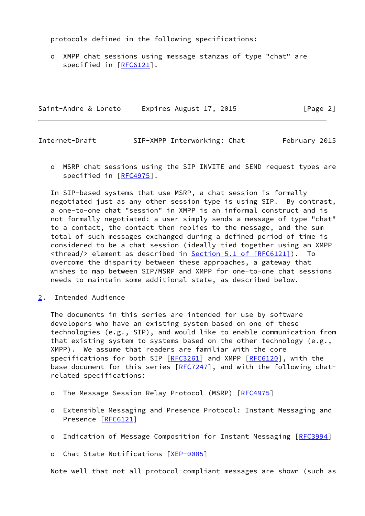protocols defined in the following specifications:

 o XMPP chat sessions using message stanzas of type "chat" are specified in [\[RFC6121](https://datatracker.ietf.org/doc/pdf/rfc6121)].

Saint-Andre & Loreto Expires August 17, 2015 [Page 2]

<span id="page-2-1"></span>Internet-Draft SIP-XMPP Interworking: Chat February 2015

 o MSRP chat sessions using the SIP INVITE and SEND request types are specified in [\[RFC4975](https://datatracker.ietf.org/doc/pdf/rfc4975)].

 In SIP-based systems that use MSRP, a chat session is formally negotiated just as any other session type is using SIP. By contrast, a one-to-one chat "session" in XMPP is an informal construct and is not formally negotiated: a user simply sends a message of type "chat" to a contact, the contact then replies to the message, and the sum total of such messages exchanged during a defined period of time is considered to be a chat session (ideally tied together using an XMPP <thread/> element as described in Section [5.1 of \[RFC6121\]](https://datatracker.ietf.org/doc/pdf/rfc6121#section-5.1)). To overcome the disparity between these approaches, a gateway that wishes to map between SIP/MSRP and XMPP for one-to-one chat sessions needs to maintain some additional state, as described below.

<span id="page-2-0"></span>[2](#page-2-0). Intended Audience

 The documents in this series are intended for use by software developers who have an existing system based on one of these technologies (e.g., SIP), and would like to enable communication from that existing system to systems based on the other technology (e.g., XMPP). We assume that readers are familiar with the core specifications for both SIP [\[RFC3261](https://datatracker.ietf.org/doc/pdf/rfc3261)] and XMPP [\[RFC6120](https://datatracker.ietf.org/doc/pdf/rfc6120)], with the base document for this series [[RFC7247](https://datatracker.ietf.org/doc/pdf/rfc7247)], and with the following chatrelated specifications:

- o The Message Session Relay Protocol (MSRP) [\[RFC4975](https://datatracker.ietf.org/doc/pdf/rfc4975)]
- o Extensible Messaging and Presence Protocol: Instant Messaging and Presence [\[RFC6121](https://datatracker.ietf.org/doc/pdf/rfc6121)]
- o Indication of Message Composition for Instant Messaging [[RFC3994\]](https://datatracker.ietf.org/doc/pdf/rfc3994)

o Chat State Notifications [\[XEP-0085](#page-20-2)]

Note well that not all protocol-compliant messages are shown (such as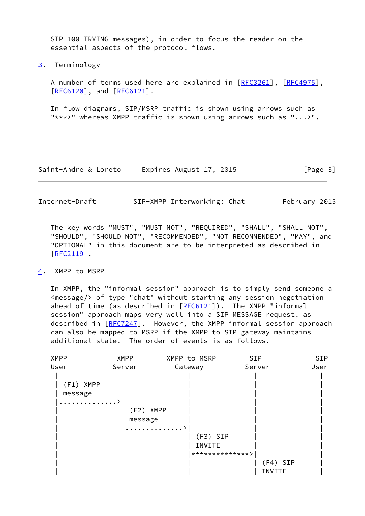SIP 100 TRYING messages), in order to focus the reader on the essential aspects of the protocol flows.

<span id="page-3-0"></span>[3](#page-3-0). Terminology

A number of terms used here are explained in [\[RFC3261](https://datatracker.ietf.org/doc/pdf/rfc3261)], [\[RFC4975](https://datatracker.ietf.org/doc/pdf/rfc4975)], [\[RFC6120](https://datatracker.ietf.org/doc/pdf/rfc6120)], and [\[RFC6121](https://datatracker.ietf.org/doc/pdf/rfc6121)].

 In flow diagrams, SIP/MSRP traffic is shown using arrows such as "\*\*\*>" whereas XMPP traffic is shown using arrows such as "...>".

Saint-Andre & Loreto Expires August 17, 2015 [Page 3]

<span id="page-3-2"></span>Internet-Draft SIP-XMPP Interworking: Chat February 2015

 The key words "MUST", "MUST NOT", "REQUIRED", "SHALL", "SHALL NOT", "SHOULD", "SHOULD NOT", "RECOMMENDED", "NOT RECOMMENDED", "MAY", and "OPTIONAL" in this document are to be interpreted as described in  $[REC2119]$ .

## <span id="page-3-1"></span>[4](#page-3-1). XMPP to MSRP

 In XMPP, the "informal session" approach is to simply send someone a <message/> of type "chat" without starting any session negotiation ahead of time (as described in  $[REG121]$ ). The XMPP "informal session" approach maps very well into a SIP MESSAGE request, as described in [\[RFC7247](https://datatracker.ietf.org/doc/pdf/rfc7247)]. However, the XMPP informal session approach can also be mapped to MSRP if the XMPP-to-SIP gateway maintains additional state. The order of events is as follows.

| <b>XMPP</b>                 | <b>XMPP</b>          | XMPP-to-MSRP              | <b>SIP</b>           | SIP  |
|-----------------------------|----------------------|---------------------------|----------------------|------|
| User                        | Server               | Gateway                   | Server               | User |
| (F1) XMPP<br>message<br>. > | (F2) XMPP<br>message | . ><br>$(F3)$ SIP         |                      |      |
|                             |                      | INVITE<br>**************> |                      |      |
|                             |                      |                           | $(F4)$ SIP<br>INVITE |      |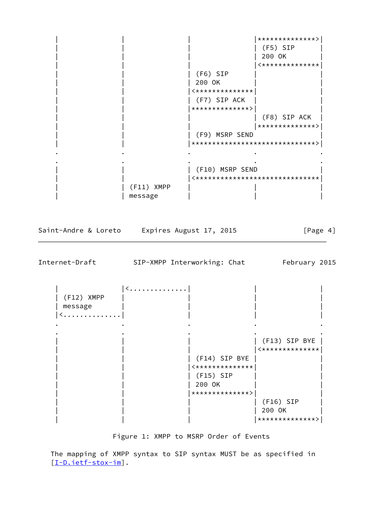| | | |\*\*\*\*\*\*\*\*\*\*\*\*\*\*>| | | | | (F5) SIP | | 200 OK  $|$  <\*\*\*\*\*\*\*\*\*\*\*\*\*\* | (F6) SIP | | | 200 OK | | | | |<\*\*\*\*\*\*\*\*\*\*\*\*\*\*| | (F7) SIP ACK | | |\*\*\*\*\*\*\*\*\*\*\*\*\*\*>| |  $|$  (F8) SIP ACK | | | |\*\*\*\*\*\*\*\*\*\*\*\*\*\*>| | | | (F9) MSRP SEND | | | |\*\*\*\*\*\*\*\*\*\*\*\*\*\*\*\*\*\*\*\*\*\*\*\*\*\*\*\*\*\*>| . The contract of the contract of the contract of the contract of the contract of the contract of the contract of the contract of the contract of the contract of the contract of the contract of the contract of the contrac . The contract of the contract of the contract of the contract of the contract of the contract of the contract of the contract of the contract of the contract of the contract of the contract of the contract of the contrac | (F10) MSRP SEND | | |<\*\*\*\*\*\*\*\*\*\*\*\*\*\*\*\*\*\*\*\*\*\*\*\*\*\*\*\*\*\*| | (F11) XMPP | | message | | |

Saint-Andre & Loreto Expires August 17, 2015 [Page 4]

Internet-Draft SIP-XMPP Interworking: Chat February 2015

 $|$  < . . . . . . . . . . . . . . | (F12) XMPP | | | | | message | | | | |<..............| | | | . The contract of the contract of the contract of the contract of the contract of the contract of the contract of the contract of the contract of the contract of the contract of the contract of the contract of the contrac . The contract of the contract of the contract of the contract of the contract of the contract of the contract of the contract of the contract of the contract of the contract of the contract of the contract of the contrac | | | | (F13) SIP BYE |  $|$  <\*\*\*\*\*\*\*\*\*\*\*\*\*\* | | | (F14) SIP BYE | |  $|\times \times \times \times \times \times \times \times \times \times \times \times \times$ | (F15) SIP | 200 OK | | |\*\*\*\*\*\*\*\*\*\*\*\*\*\*>| | (F16) SIP | 200 OK | | | |\*\*\*\*\*\*\*\*\*\*\*\*\*\*>|

Figure 1: XMPP to MSRP Order of Events

 The mapping of XMPP syntax to SIP syntax MUST be as specified in [\[I-D.ietf-stox-im](#page-19-2)].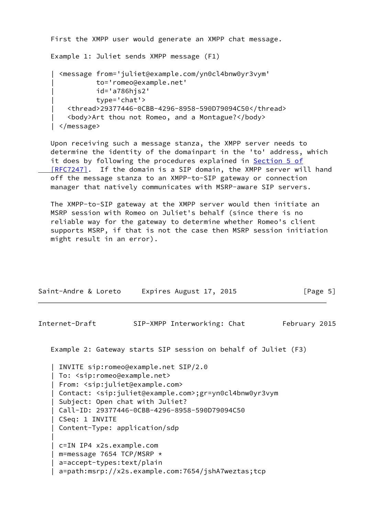```
 First the XMPP user would generate an XMPP chat message.
 Example 1: Juliet sends XMPP message (F1)
   | <message from='juliet@example.com/yn0cl4bnw0yr3vym'
            | to='romeo@example.net'
            | id='a786hjs2'
            | type='chat'>
     | <thread>29377446-0CBB-4296-8958-590D79094C50</thread>
     | <body>Art thou not Romeo, and a Montague?</body>
 | </message>
```
 Upon receiving such a message stanza, the XMPP server needs to determine the identity of the domainpart in the 'to' address, which it does by following the procedures explained in [Section](https://datatracker.ietf.org/doc/pdf/rfc7247#section-5) 5 of  [\[RFC7247\]](https://datatracker.ietf.org/doc/pdf/rfc7247#section-5). If the domain is a SIP domain, the XMPP server will hand off the message stanza to an XMPP-to-SIP gateway or connection manager that natively communicates with MSRP-aware SIP servers.

 The XMPP-to-SIP gateway at the XMPP server would then initiate an MSRP session with Romeo on Juliet's behalf (since there is no reliable way for the gateway to determine whether Romeo's client supports MSRP, if that is not the case then MSRP session initiation might result in an error).

| Saint-Andre & Loreto | Expires August 17, 2015 | [Page 5] |
|----------------------|-------------------------|----------|

Internet-Draft SIP-XMPP Interworking: Chat February 2015

Example 2: Gateway starts SIP session on behalf of Juliet (F3)

 | INVITE sip:romeo@example.net SIP/2.0 | To: <sip:romeo@example.net> | From: <sip:juliet@example.com> | Contact: <sip:juliet@example.com>;gr=yn0cl4bnw0yr3vym | Subject: Open chat with Juliet? | Call-ID: 29377446-0CBB-4296-8958-590D79094C50 | CSeq: 1 INVITE | Content-Type: application/sdp | c=IN IP4 x2s.example.com | m=message 7654 TCP/MSRP \* | a=accept-types:text/plain | a=path:msrp://x2s.example.com:7654/jshA7weztas;tcp

|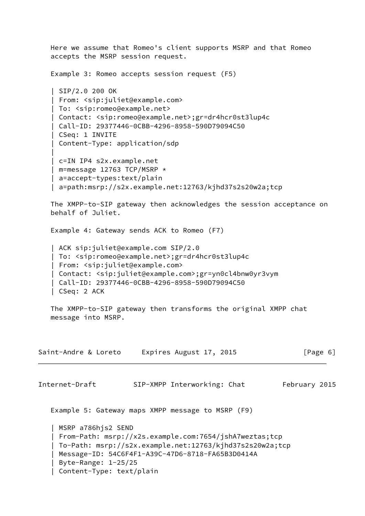Here we assume that Romeo's client supports MSRP and that Romeo accepts the MSRP session request. Example 3: Romeo accepts session request (F5) | SIP/2.0 200 OK | From: <sip:juliet@example.com> | To: <sip:romeo@example.net> | Contact: <sip:romeo@example.net>;gr=dr4hcr0st3lup4c | Call-ID: 29377446-0CBB-4296-8958-590D79094C50 | CSeq: 1 INVITE | Content-Type: application/sdp | | c=IN IP4 s2x.example.net | m=message 12763 TCP/MSRP \* | a=accept-types:text/plain | a=path:msrp://s2x.example.net:12763/kjhd37s2s20w2a;tcp The XMPP-to-SIP gateway then acknowledges the session acceptance on behalf of Juliet. Example 4: Gateway sends ACK to Romeo (F7) | ACK sip:juliet@example.com SIP/2.0 | To: <sip:romeo@example.net>;gr=dr4hcr0st3lup4c | From: <sip:juliet@example.com> | Contact: <sip:juliet@example.com>;gr=yn0cl4bnw0yr3vym | Call-ID: 29377446-0CBB-4296-8958-590D79094C50 | CSeq: 2 ACK The XMPP-to-SIP gateway then transforms the original XMPP chat message into MSRP. Saint-Andre & Loreto Expires August 17, 2015 [Page 6] Internet-Draft SIP-XMPP Interworking: Chat February 2015 Example 5: Gateway maps XMPP message to MSRP (F9) | MSRP a786hjs2 SEND | From-Path: msrp://x2s.example.com:7654/jshA7weztas;tcp | To-Path: msrp://s2x.example.net:12763/kjhd37s2s20w2a;tcp | Message-ID: 54C6F4F1-A39C-47D6-8718-FA65B3D0414A | Byte-Range: 1-25/25 | Content-Type: text/plain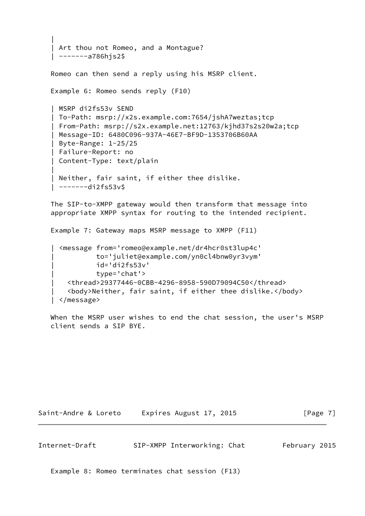```
 |
    Art thou not Romeo, and a Montague?
    | -------a786hjs2$
   Romeo can then send a reply using his MSRP client.
   Example 6: Romeo sends reply (F10)
    | MSRP di2fs53v SEND
    | To-Path: msrp://x2s.example.com:7654/jshA7weztas;tcp
    | From-Path: msrp://s2x.example.net:12763/kjhd37s2s20w2a;tcp
    | Message-ID: 6480C096-937A-46E7-BF9D-1353706B60AA
    | Byte-Range: 1-25/25
    | Failure-Report: no
    | Content-Type: text/plain
 |
    Neither, fair saint, if either thee dislike.
    | -------di2fs53v$
```
 The SIP-to-XMPP gateway would then transform that message into appropriate XMPP syntax for routing to the intended recipient.

Example 7: Gateway maps MSRP message to XMPP (F11)

```
 | <message from='romeo@example.net/dr4hcr0st3lup4c'
           | to='juliet@example.com/yn0cl4bnw0yr3vym'
           | id='di2fs53v'
           | type='chat'>
   | <thread>29377446-0CBB-4296-8958-590D79094C50</thread>
   | <body>Neither, fair saint, if either thee dislike.</body>
 | </message>
```
 When the MSRP user wishes to end the chat session, the user's MSRP client sends a SIP BYE.

Saint-Andre & Loreto Expires August 17, 2015 [Page 7]

<span id="page-7-0"></span>Internet-Draft SIP-XMPP Interworking: Chat February 2015

Example 8: Romeo terminates chat session (F13)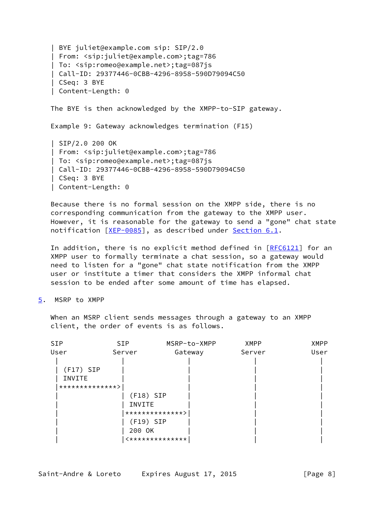| BYE juliet@example.com sip: SIP/2.0 | From: <sip:juliet@example.com>;tag=786 | To: <sip:romeo@example.net>;tag=087js | Call-ID: 29377446-0CBB-4296-8958-590D79094C50 | CSeq: 3 BYE | Content-Length: 0 The BYE is then acknowledged by the XMPP-to-SIP gateway. Example 9: Gateway acknowledges termination (F15) | SIP/2.0 200 OK | From: <sip:juliet@example.com>;tag=786 | To: <sip:romeo@example.net>;tag=087js | Call-ID: 29377446-0CBB-4296-8958-590D79094C50 | CSeq: 3 BYE | Content-Length: 0

 Because there is no formal session on the XMPP side, there is no corresponding communication from the gateway to the XMPP user. However, it is reasonable for the gateway to send a "gone" chat state notification [\[XEP-0085](#page-20-2)], as described under [Section 6.1.](#page-14-1)

In addition, there is no explicit method defined in [\[RFC6121](https://datatracker.ietf.org/doc/pdf/rfc6121)] for an XMPP user to formally terminate a chat session, so a gateway would need to listen for a "gone" chat state notification from the XMPP user or institute a timer that considers the XMPP informal chat session to be ended after some amount of time has elapsed.

<span id="page-8-0"></span>[5](#page-8-0). MSRP to XMPP

 When an MSRP client sends messages through a gateway to an XMPP client, the order of events is as follows.

| <b>SIP</b>  | SIP.            | MSRP-to-XMPP    | <b>XMPP</b> | <b>XMPP</b> |
|-------------|-----------------|-----------------|-------------|-------------|
| User        | Server          | Gateway         | Server      | User        |
|             |                 |                 |             |             |
| $(F17)$ SIP |                 |                 |             |             |
| INVITE      |                 |                 |             |             |
|             | **************> |                 |             |             |
|             | $(F18)$ SIP     |                 |             |             |
|             | INVITE          |                 |             |             |
|             |                 | **************> |             |             |
|             | $(F19)$ SIP     |                 |             |             |
|             | 200 OK          |                 |             |             |
|             |                 | <************** |             |             |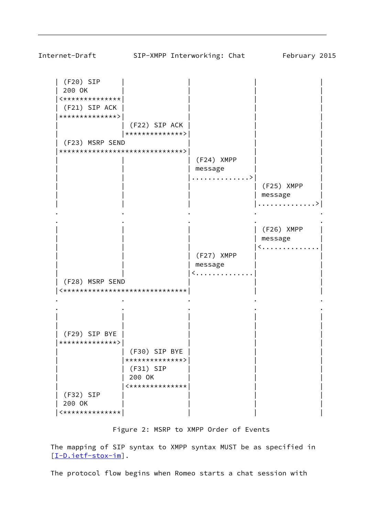| (F20) SIP | | | | | 200 OK | | | |  $|$  <\*\*\*\*\*\*\*\*\*\*\*\*\*\* | (F21) SIP ACK | | | | |\*\*\*\*\*\*\*\*\*\*\*\*\*\*>| | | | | | (F22) SIP ACK | | | | |\*\*\*\*\*\*\*\*\*\*\*\*\*\*>| | | (F23) MSRP SEND |\*\*\*\*\*\*\*\*\*\*\*\*\*\*\*\*\*\*\*\*\*\*\*\*\*\*\*\*\*\*>| | | | (F24) XMPP | message | | |..............>| | | | | | (F25) XMPP | | message | | | |..............>| . The contract of the contract of the contract of the contract of the contract of the contract of the contract of the contract of the contract of the contract of the contract of the contract of the contract of the contrac . The contract of the contract of the contract of the contract of the contract of the contract of the contract of the contract of the contract of the contract of the contract of the contract of the contract of the contrac | | | | (F26) XMPP | | message  $|$  < . . . . . . . . . . . . . . | (F27) XMPP | message | < . . . . . . . . . . . . . (F28) MSRP SEND |<\*\*\*\*\*\*\*\*\*\*\*\*\*\*\*\*\*\*\*\*\*\*\*\*\*\*\*\*\*\*| | | . The contract of the contract of the contract of the contract of the contract of the contract of the contract of the contract of the contract of the contract of the contract of the contract of the contract of the contrac . The contract of the contract of the contract of the contract of the contract of the contract of the contract of the contract of the contract of the contract of the contract of the contract of the contract of the contrac | | | | | | | | | | | (F29) SIP BYE | | | | |\*\*\*\*\*\*\*\*\*\*\*\*\*\*>| | | | | | (F30) SIP BYE | | | | |\*\*\*\*\*\*\*\*\*\*\*\*\*\*>| | | | (F31) SIP | 200 OK  $|$  <\*\*\*\*\*\*\*\*\*\*\*\*\*\* | | (F32) SIP | 200 OK | | | | |<\*\*\*\*\*\*\*\*\*\*\*\*\*\*| | | |

## Figure 2: MSRP to XMPP Order of Events

 The mapping of SIP syntax to XMPP syntax MUST be as specified in [\[I-D.ietf-stox-im](#page-19-2)].

The protocol flow begins when Romeo starts a chat session with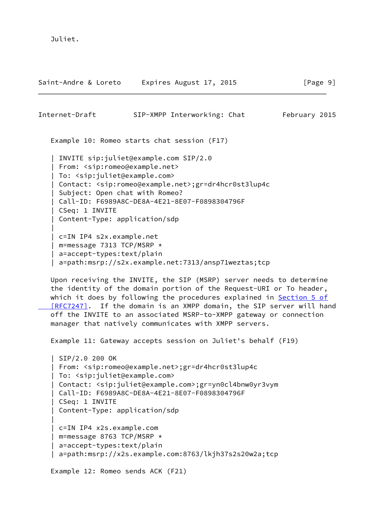Juliet.

| Saint-Andre & Loreto                                                                                                                                                                                    | Expires August 17, 2015                                                                                                                                                                                                                                                                                                                                                                                                  | [Page 9]      |
|---------------------------------------------------------------------------------------------------------------------------------------------------------------------------------------------------------|--------------------------------------------------------------------------------------------------------------------------------------------------------------------------------------------------------------------------------------------------------------------------------------------------------------------------------------------------------------------------------------------------------------------------|---------------|
| Internet-Draft                                                                                                                                                                                          | SIP-XMPP Interworking: Chat                                                                                                                                                                                                                                                                                                                                                                                              | February 2015 |
|                                                                                                                                                                                                         | Example 10: Romeo starts chat session (F17)                                                                                                                                                                                                                                                                                                                                                                              |               |
| From: <sip:romeo@example.net><br/>To: <sip:juliet@example.com><br/>Subject: Open chat with Romeo?<br/>CSeq: 1 INVITE<br/>Content-Type: application/sdp</sip:juliet@example.com></sip:romeo@example.net> | INVITE sip:juliet@example.com SIP/2.0<br>Contact: <sip:romeo@example.net>;gr=dr4hcr0st3lup4c<br/>Call-ID: F6989A8C-DE8A-4E21-8E07-F0898304796F</sip:romeo@example.net>                                                                                                                                                                                                                                                   |               |
| c=IN IP4 s2x.example.net<br>m=message 7313 TCP/MSRP *<br>a=accept-types:text/plain                                                                                                                      | a=path:msrp://s2x.example.net:7313/ansp71weztas;tcp                                                                                                                                                                                                                                                                                                                                                                      |               |
|                                                                                                                                                                                                         | Upon receiving the INVITE, the SIP (MSRP) server needs to determine<br>the identity of the domain portion of the Request-URI or To header,<br>which it does by following the procedures explained in Section 5 of<br>[RFC7247]. If the domain is an XMPP domain, the SIP server will hand<br>off the INVITE to an associated MSRP-to-XMPP gateway or connection<br>manager that natively communicates with XMPP servers. |               |
|                                                                                                                                                                                                         | Example 11: Gateway accepts session on Juliet's behalf (F19)                                                                                                                                                                                                                                                                                                                                                             |               |
| SIP/2.0 200 OK<br>To: <sip:juliet@example.com><br/>CSeq: 1 INVITE<br/>Content-Type: application/sdp</sip:juliet@example.com>                                                                            | From: <sip:romeo@example.net>;gr=dr4hcr0st3lup4c<br/>Contact: <sip:juliet@example.com>;gr=yn0cl4bnw0yr3vym<br/>Call-ID: F6989A8C-DE8A-4E21-8E07-F0898304796F</sip:juliet@example.com></sip:romeo@example.net>                                                                                                                                                                                                            |               |
| c=IN IP4 x2s.example.com<br>m=message 8763 TCP/MSRP *<br>a=accept-types:text/plain                                                                                                                      | a=path:msrp://x2s.example.com:8763/lkjh37s2s20w2a;tcp                                                                                                                                                                                                                                                                                                                                                                    |               |
| Example 12: Romeo sends ACK (F21)                                                                                                                                                                       |                                                                                                                                                                                                                                                                                                                                                                                                                          |               |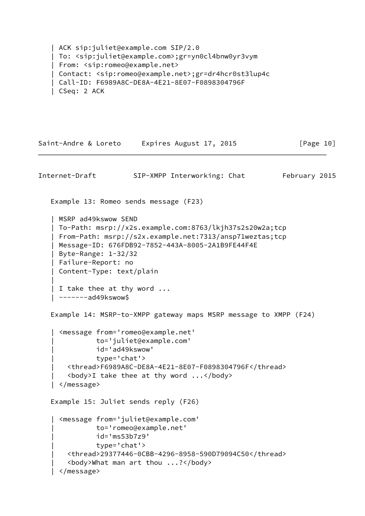```
 | ACK sip:juliet@example.com SIP/2.0
 | To: <sip:juliet@example.com>;gr=yn0cl4bnw0yr3vym
 | From: <sip:romeo@example.net>
 | Contact: <sip:romeo@example.net>;gr=dr4hcr0st3lup4c
 | Call-ID: F6989A8C-DE8A-4E21-8E07-F0898304796F
 | CSeq: 2 ACK
```

```
Saint-Andre & Loreto Expires August 17, 2015 [Page 10]
Internet-Draft SIP-XMPP Interworking: Chat February 2015
    Example 13: Romeo sends message (F23)
    | MSRP ad49kswow SEND
    | To-Path: msrp://x2s.example.com:8763/lkjh37s2s20w2a;tcp
    | From-Path: msrp://s2x.example.net:7313/ansp71weztas;tcp
    | Message-ID: 676FDB92-7852-443A-8005-2A1B9FE44F4E
    | Byte-Range: 1-32/32
    | Failure-Report: no
    | Content-Type: text/plain
 |
    | I take thee at thy word ...
    | -------ad49kswow$
    Example 14: MSRP-to-XMPP gateway maps MSRP message to XMPP (F24)
      | <message from='romeo@example.net'
               | to='juliet@example.com'
               | id='ad49kswow'
               | type='chat'>
        | <thread>F6989A8C-DE8A-4E21-8E07-F0898304796F</thread>
       \left\langle \text{body}\right\rangleI take thee at thy word \ldots </body>
      | </message>
    Example 15: Juliet sends reply (F26)
     | <message from='juliet@example.com'
               | to='romeo@example.net'
               | id='ms53b7z9'
               | type='chat'>
        | <thread>29377446-0CBB-4296-8958-590D79094C50</thread>
        | <body>What man art thou ...?</body>
      | </message>
```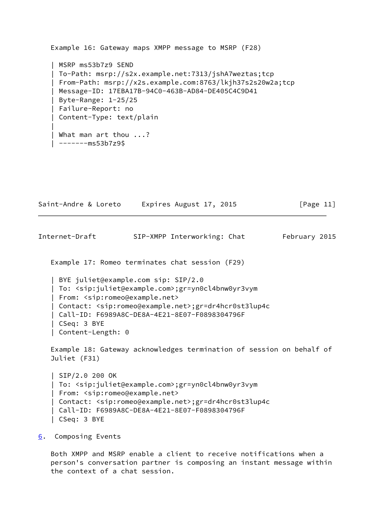```
 Example 16: Gateway maps XMPP message to MSRP (F28)
    | MSRP ms53b7z9 SEND
    | To-Path: msrp://s2x.example.net:7313/jshA7weztas;tcp
    | From-Path: msrp://x2s.example.com:8763/lkjh37s2s20w2a;tcp
    | Message-ID: 17EBA17B-94C0-463B-AD84-DE405C4C9D41
    | Byte-Range: 1-25/25
    | Failure-Report: no
    | Content-Type: text/plain
 |
    | What man art thou ...?
   | -------ms53b7z9$
```

| Saint-Andre & Loreto | Expires August 17, 2015 | [Page 11] |
|----------------------|-------------------------|-----------|
|----------------------|-------------------------|-----------|

<span id="page-12-1"></span>Internet-Draft SIP-XMPP Interworking: Chat February 2015

Example 17: Romeo terminates chat session (F29)

 | BYE juliet@example.com sip: SIP/2.0 | To: <sip:juliet@example.com>;gr=yn0cl4bnw0yr3vym | From: <sip:romeo@example.net> | Contact: <sip:romeo@example.net>;gr=dr4hcr0st3lup4c | Call-ID: F6989A8C-DE8A-4E21-8E07-F0898304796F | CSeq: 3 BYE | Content-Length: 0

 Example 18: Gateway acknowledges termination of session on behalf of Juliet (F31)

```
 | SIP/2.0 200 OK
 | To: <sip:juliet@example.com>;gr=yn0cl4bnw0yr3vym
 | From: <sip:romeo@example.net>
 | Contact: <sip:romeo@example.net>;gr=dr4hcr0st3lup4c
 | Call-ID: F6989A8C-DE8A-4E21-8E07-F0898304796F
 | CSeq: 3 BYE
```
<span id="page-12-0"></span>[6](#page-12-0). Composing Events

 Both XMPP and MSRP enable a client to receive notifications when a person's conversation partner is composing an instant message within the context of a chat session.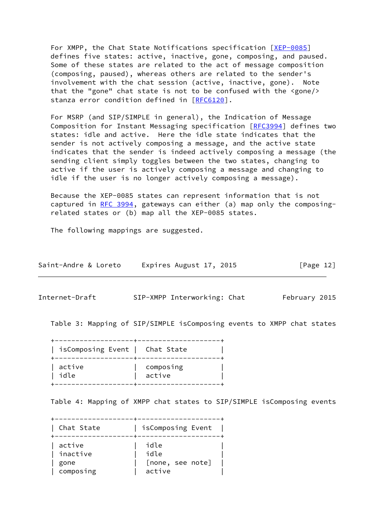For XMPP, the Chat State Notifications specification [\[XEP-0085](#page-20-2)] defines five states: active, inactive, gone, composing, and paused. Some of these states are related to the act of message composition (composing, paused), whereas others are related to the sender's involvement with the chat session (active, inactive, gone). Note that the "gone" chat state is not to be confused with the <gone/> stanza error condition defined in [[RFC6120](https://datatracker.ietf.org/doc/pdf/rfc6120)].

 For MSRP (and SIP/SIMPLE in general), the Indication of Message Composition for Instant Messaging specification [\[RFC3994](https://datatracker.ietf.org/doc/pdf/rfc3994)] defines two states: idle and active. Here the idle state indicates that the sender is not actively composing a message, and the active state indicates that the sender is indeed actively composing a message (the sending client simply toggles between the two states, changing to active if the user is actively composing a message and changing to idle if the user is no longer actively composing a message).

 Because the XEP-0085 states can represent information that is not captured in [RFC 3994,](https://datatracker.ietf.org/doc/pdf/rfc3994) gateways can either (a) map only the composing related states or (b) map all the XEP-0085 states.

The following mappings are suggested.

| Saint-Andre & Loreto | Expires August 17, 2015 | [Page 12] |
|----------------------|-------------------------|-----------|
|----------------------|-------------------------|-----------|

Internet-Draft SIP-XMPP Interworking: Chat February 2015

Table 3: Mapping of SIP/SIMPLE isComposing events to XMPP chat states

 +-------------------+--------------------+ | isComposing Event | Chat State | +-------------------+--------------------+ | active | composing | | idle | active | +-------------------+--------------------+

Table 4: Mapping of XMPP chat states to SIP/SIMPLE isComposing events

 +-------------------+--------------------+ | Chat State | isComposing Event | +-------------------+--------------------+ | active | idle | | inactive | idle | | gone | [none, see note] | | composing | active |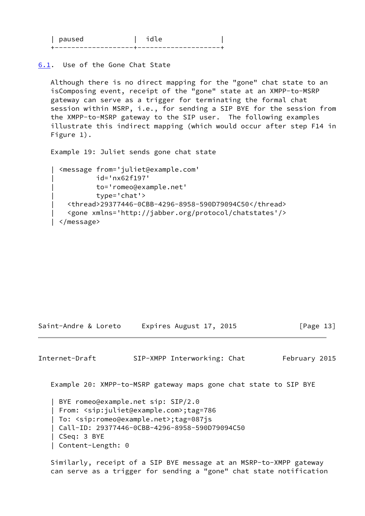| nalisad |  |
|---------|--|
|         |  |

<span id="page-14-1"></span>[6.1](#page-14-1). Use of the Gone Chat State

 Although there is no direct mapping for the "gone" chat state to an isComposing event, receipt of the "gone" state at an XMPP-to-MSRP gateway can serve as a trigger for terminating the formal chat session within MSRP, i.e., for sending a SIP BYE for the session from the XMPP-to-MSRP gateway to the SIP user. The following examples illustrate this indirect mapping (which would occur after step F14 in Figure 1).

Example 19: Juliet sends gone chat state

```
 | <message from='juliet@example.com'
           | id='nx62f197'
           | to='romeo@example.net'
           | type='chat'>
   | <thread>29377446-0CBB-4296-8958-590D79094C50</thread>
   | <gone xmlns='http://jabber.org/protocol/chatstates'/>
 | </message>
```
Saint-Andre & Loreto Expires August 17, 2015 [Page 13]

<span id="page-14-0"></span>Internet-Draft SIP-XMPP Interworking: Chat February 2015

Example 20: XMPP-to-MSRP gateway maps gone chat state to SIP BYE

 | BYE romeo@example.net sip: SIP/2.0 | From: <sip:juliet@example.com>;tag=786 | To: <sip:romeo@example.net>;tag=087js | Call-ID: 29377446-0CBB-4296-8958-590D79094C50 | CSeq: 3 BYE | Content-Length: 0

 Similarly, receipt of a SIP BYE message at an MSRP-to-XMPP gateway can serve as a trigger for sending a "gone" chat state notification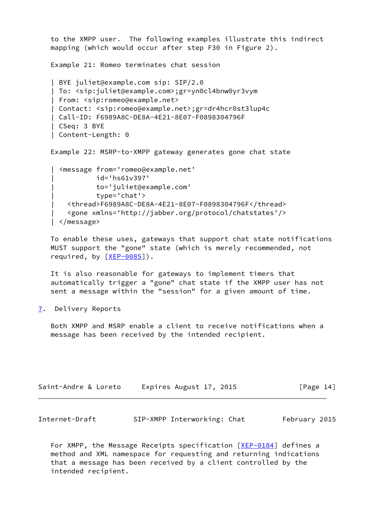```
 to the XMPP user. The following examples illustrate this indirect
 mapping (which would occur after step F30 in Figure 2).
 Example 21: Romeo terminates chat session
 | BYE juliet@example.com sip: SIP/2.0
 | To: <sip:juliet@example.com>;gr=yn0cl4bnw0yr3vym
 | From: <sip:romeo@example.net>
 | Contact: <sip:romeo@example.net>;gr=dr4hcr0st3lup4c
 | Call-ID: F6989A8C-DE8A-4E21-8E07-F0898304796F
 | CSeq: 3 BYE
 | Content-Length: 0
 Example 22: MSRP-to-XMPP gateway generates gone chat state
   | <message from='romeo@example.net'
            | id='hs61v397'
            | to='juliet@example.com'
            | type='chat'>
     | <thread>F6989A8C-DE8A-4E21-8E07-F0898304796F</thread>
     | <gone xmlns='http://jabber.org/protocol/chatstates'/>
```

```
 | </message>
```
 To enable these uses, gateways that support chat state notifications MUST support the "gone" state (which is merely recommended, not required, by [\[XEP-0085](#page-20-2)]).

 It is also reasonable for gateways to implement timers that automatically trigger a "gone" chat state if the XMPP user has not sent a message within the "session" for a given amount of time.

<span id="page-15-0"></span>[7](#page-15-0). Delivery Reports

 Both XMPP and MSRP enable a client to receive notifications when a message has been received by the intended recipient.

| Saint-Andre & Loreto | Expires August 17, 2015 | [Page 14] |
|----------------------|-------------------------|-----------|
|----------------------|-------------------------|-----------|

| Internet-Draft |  | SIP-XMPP Interworking: Chat | February 2015 |
|----------------|--|-----------------------------|---------------|
|----------------|--|-----------------------------|---------------|

For XMPP, the Message Receipts specification  $[XEP-0184]$  $[XEP-0184]$  defines a method and XML namespace for requesting and returning indications that a message has been received by a client controlled by the intended recipient.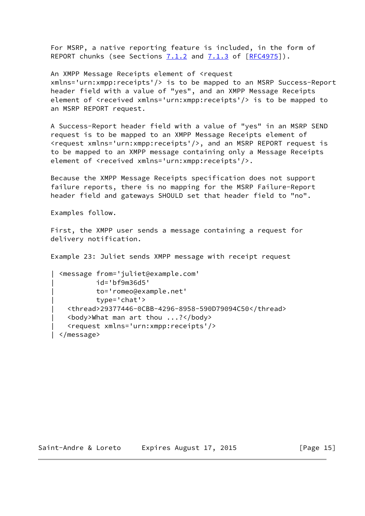For MSRP, a native reporting feature is included, in the form of REPORT chunks (see Sections 7.1.2 and 7.1.3 of [\[RFC4975](https://datatracker.ietf.org/doc/pdf/rfc4975)]).

An XMPP Message Receipts element of <request

 xmlns='urn:xmpp:receipts'/> is to be mapped to an MSRP Success-Report header field with a value of "yes", and an XMPP Message Receipts element of <received xmlns='urn:xmpp:receipts'/> is to be mapped to an MSRP REPORT request.

 A Success-Report header field with a value of "yes" in an MSRP SEND request is to be mapped to an XMPP Message Receipts element of <request xmlns='urn:xmpp:receipts'/>, and an MSRP REPORT request is to be mapped to an XMPP message containing only a Message Receipts element of <received xmlns='urn:xmpp:receipts'/>.

 Because the XMPP Message Receipts specification does not support failure reports, there is no mapping for the MSRP Failure-Report header field and gateways SHOULD set that header field to "no".

Examples follow.

 First, the XMPP user sends a message containing a request for delivery notification.

Example 23: Juliet sends XMPP message with receipt request

```
 | <message from='juliet@example.com'
           | id='bf9m36d5'
           | to='romeo@example.net'
           | type='chat'>
   | <thread>29377446-0CBB-4296-8958-590D79094C50</thread>
   | <body>What man art thou ...?</body>
   | <request xmlns='urn:xmpp:receipts'/>
 | </message>
```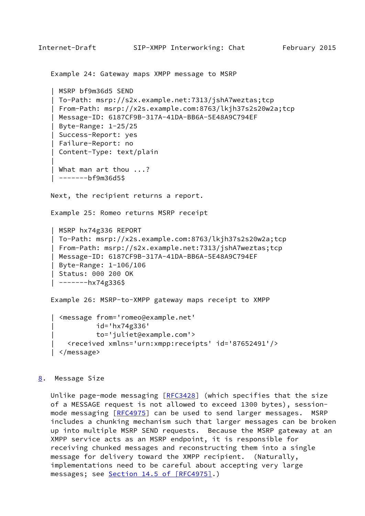```
Internet-Draft SIP-XMPP Interworking: Chat February 2015
    Example 24: Gateway maps XMPP message to MSRP
    | MSRP bf9m36d5 SEND
    | To-Path: msrp://s2x.example.net:7313/jshA7weztas;tcp
    | From-Path: msrp://x2s.example.com:8763/lkjh37s2s20w2a;tcp
    | Message-ID: 6187CF9B-317A-41DA-BB6A-5E48A9C794EF
    | Byte-Range: 1-25/25
    | Success-Report: yes
    | Failure-Report: no
    | Content-Type: text/plain
 |
    | What man art thou ...?
    | -------bf9m36d5$
    Next, the recipient returns a report.
    Example 25: Romeo returns MSRP receipt
    | MSRP hx74g336 REPORT
    | To-Path: msrp://x2s.example.com:8763/lkjh37s2s20w2a;tcp
    | From-Path: msrp://s2x.example.net:7313/jshA7weztas;tcp
    | Message-ID: 6187CF9B-317A-41DA-BB6A-5E48A9C794EF
    | Byte-Range: 1-106/106
    | Status: 000 200 OK
   | ----hx74g336$
    Example 26: MSRP-to-XMPP gateway maps receipt to XMPP
    | <message from='romeo@example.net'
               | id='hx74g336'
               | to='juliet@example.com'>
       | <received xmlns='urn:xmpp:receipts' id='87652491'/>
    | </message>
8. Message Size
   Unlike page-mode messaging [REC3428] (which specifies that the size
    of a MESSAGE request is not allowed to exceed 1300 bytes), session-
  [RFC4975] can be used to send larger messages. MSRP
    includes a chunking mechanism such that larger messages can be broken
   up into multiple MSRP SEND requests. Because the MSRP gateway at an
   XMPP service acts as an MSRP endpoint, it is responsible for
    receiving chunked messages and reconstructing them into a single
    message for delivery toward the XMPP recipient. (Naturally,
    implementations need to be careful about accepting very large
```
<span id="page-17-0"></span>messages; see Section [14.5 of \[RFC4975\].](https://datatracker.ietf.org/doc/pdf/rfc4975#section-14.5))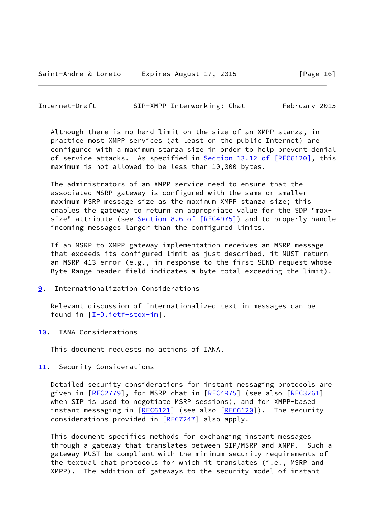<span id="page-18-1"></span>Internet-Draft SIP-XMPP Interworking: Chat February 2015

 Although there is no hard limit on the size of an XMPP stanza, in practice most XMPP services (at least on the public Internet) are configured with a maximum stanza size in order to help prevent denial of service attacks. As specified in **Section 13.12 of [RFC6120]**, this maximum is not allowed to be less than 10,000 bytes.

 The administrators of an XMPP service need to ensure that the associated MSRP gateway is configured with the same or smaller maximum MSRP message size as the maximum XMPP stanza size; this enables the gateway to return an appropriate value for the SDP "max- size" attribute (see Section [8.6 of \[RFC4975\]](https://datatracker.ietf.org/doc/pdf/rfc4975#section-8.6)) and to properly handle incoming messages larger than the configured limits.

 If an MSRP-to-XMPP gateway implementation receives an MSRP message that exceeds its configured limit as just described, it MUST return an MSRP 413 error (e.g., in response to the first SEND request whose Byte-Range header field indicates a byte total exceeding the limit).

<span id="page-18-0"></span>[9](#page-18-0). Internationalization Considerations

 Relevant discussion of internationalized text in messages can be found in [\[I-D.ietf-stox-im](#page-19-2)].

<span id="page-18-2"></span>[10.](#page-18-2) IANA Considerations

This document requests no actions of IANA.

<span id="page-18-3"></span>[11.](#page-18-3) Security Considerations

 Detailed security considerations for instant messaging protocols are given in [\[RFC2779](https://datatracker.ietf.org/doc/pdf/rfc2779)], for MSRP chat in [\[RFC4975](https://datatracker.ietf.org/doc/pdf/rfc4975)] (see also [\[RFC3261](https://datatracker.ietf.org/doc/pdf/rfc3261)] when SIP is used to negotiate MSRP sessions), and for XMPP-based instant messaging in [\[RFC6121](https://datatracker.ietf.org/doc/pdf/rfc6121)] (see also [\[RFC6120](https://datatracker.ietf.org/doc/pdf/rfc6120)]). The security considerations provided in [[RFC7247\]](https://datatracker.ietf.org/doc/pdf/rfc7247) also apply.

 This document specifies methods for exchanging instant messages through a gateway that translates between SIP/MSRP and XMPP. Such a gateway MUST be compliant with the minimum security requirements of the textual chat protocols for which it translates (i.e., MSRP and XMPP). The addition of gateways to the security model of instant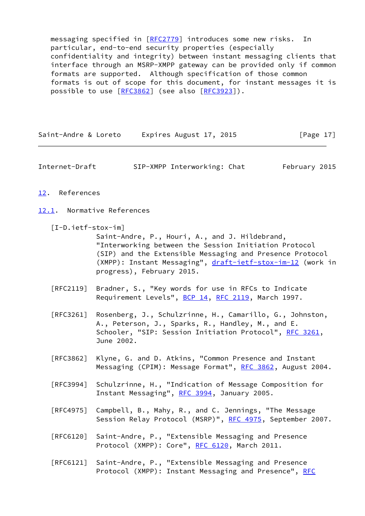messaging specified in [\[RFC2779](https://datatracker.ietf.org/doc/pdf/rfc2779)] introduces some new risks. In particular, end-to-end security properties (especially confidentiality and integrity) between instant messaging clients that interface through an MSRP-XMPP gateway can be provided only if common formats are supported. Although specification of those common formats is out of scope for this document, for instant messages it is possible to use [\[RFC3862](https://datatracker.ietf.org/doc/pdf/rfc3862)] (see also [\[RFC3923](https://datatracker.ietf.org/doc/pdf/rfc3923)]).

Saint-Andre & Loreto Expires August 17, 2015 [Page 17]

<span id="page-19-1"></span>Internet-Draft SIP-XMPP Interworking: Chat February 2015

## <span id="page-19-0"></span>[12.](#page-19-0) References

<span id="page-19-3"></span>[12.1](#page-19-3). Normative References

<span id="page-19-2"></span>[I-D.ietf-stox-im]

 Saint-Andre, P., Houri, A., and J. Hildebrand, "Interworking between the Session Initiation Protocol (SIP) and the Extensible Messaging and Presence Protocol (XMPP): Instant Messaging", [draft-ietf-stox-im-12](https://datatracker.ietf.org/doc/pdf/draft-ietf-stox-im-12) (work in progress), February 2015.

- [RFC2119] Bradner, S., "Key words for use in RFCs to Indicate Requirement Levels", [BCP 14](https://datatracker.ietf.org/doc/pdf/bcp14), [RFC 2119](https://datatracker.ietf.org/doc/pdf/rfc2119), March 1997.
- [RFC3261] Rosenberg, J., Schulzrinne, H., Camarillo, G., Johnston, A., Peterson, J., Sparks, R., Handley, M., and E. Schooler, "SIP: Session Initiation Protocol", [RFC 3261](https://datatracker.ietf.org/doc/pdf/rfc3261), June 2002.
- [RFC3862] Klyne, G. and D. Atkins, "Common Presence and Instant Messaging (CPIM): Message Format", [RFC 3862](https://datatracker.ietf.org/doc/pdf/rfc3862), August 2004.
- [RFC3994] Schulzrinne, H., "Indication of Message Composition for Instant Messaging", [RFC 3994,](https://datatracker.ietf.org/doc/pdf/rfc3994) January 2005.
- [RFC4975] Campbell, B., Mahy, R., and C. Jennings, "The Message Session Relay Protocol (MSRP)", [RFC 4975,](https://datatracker.ietf.org/doc/pdf/rfc4975) September 2007.
- [RFC6120] Saint-Andre, P., "Extensible Messaging and Presence Protocol (XMPP): Core", [RFC 6120,](https://datatracker.ietf.org/doc/pdf/rfc6120) March 2011.
- [RFC6121] Saint-Andre, P., "Extensible Messaging and Presence Protocol (XMPP): Instant Messaging and Presence", [RFC](https://datatracker.ietf.org/doc/pdf/rfc6121)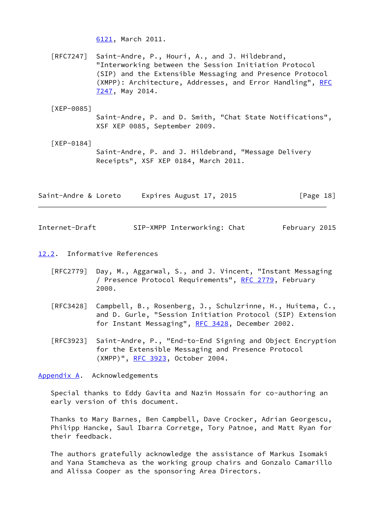[6121,](https://datatracker.ietf.org/doc/pdf/rfc6121) March 2011.

 [RFC7247] Saint-Andre, P., Houri, A., and J. Hildebrand, "Interworking between the Session Initiation Protocol (SIP) and the Extensible Messaging and Presence Protocol (XMPP): Architecture, Addresses, and Error Handling", [RFC](https://datatracker.ietf.org/doc/pdf/rfc7247) [7247,](https://datatracker.ietf.org/doc/pdf/rfc7247) May 2014.

<span id="page-20-2"></span>[XEP-0085]

 Saint-Andre, P. and D. Smith, "Chat State Notifications", XSF XEP 0085, September 2009.

<span id="page-20-3"></span> [XEP-0184] Saint-Andre, P. and J. Hildebrand, "Message Delivery Receipts", XSF XEP 0184, March 2011.

| Saint-Andre & Loreto | Expires August 17, 2015 | [Page 18] |
|----------------------|-------------------------|-----------|
|                      |                         |           |

<span id="page-20-1"></span>Internet-Draft SIP-XMPP Interworking: Chat February 2015

- <span id="page-20-4"></span>[12.2](#page-20-4). Informative References
	- [RFC2779] Day, M., Aggarwal, S., and J. Vincent, "Instant Messaging / Presence Protocol Requirements", [RFC 2779](https://datatracker.ietf.org/doc/pdf/rfc2779), February 2000.
	- [RFC3428] Campbell, B., Rosenberg, J., Schulzrinne, H., Huitema, C., and D. Gurle, "Session Initiation Protocol (SIP) Extension for Instant Messaging", [RFC 3428,](https://datatracker.ietf.org/doc/pdf/rfc3428) December 2002.
	- [RFC3923] Saint-Andre, P., "End-to-End Signing and Object Encryption for the Extensible Messaging and Presence Protocol (XMPP)", [RFC 3923,](https://datatracker.ietf.org/doc/pdf/rfc3923) October 2004.

<span id="page-20-0"></span>[Appendix A.](#page-20-0) Acknowledgements

 Special thanks to Eddy Gavita and Nazin Hossain for co-authoring an early version of this document.

 Thanks to Mary Barnes, Ben Campbell, Dave Crocker, Adrian Georgescu, Philipp Hancke, Saul Ibarra Corretge, Tory Patnoe, and Matt Ryan for their feedback.

 The authors gratefully acknowledge the assistance of Markus Isomaki and Yana Stamcheva as the working group chairs and Gonzalo Camarillo and Alissa Cooper as the sponsoring Area Directors.